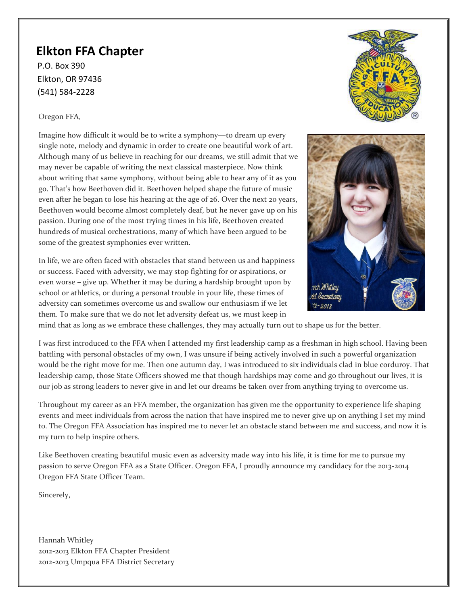# **Elkton FFA Chapter**

(541) 584-2228 P.O. Box 390 Elkton, OR 97436

# Oregon FFA,

Imagine how difficult it would be to write a symphony―to dream up every single note, melody and dynamic in order to create one beautiful work of art. Although many of us believe in reaching for our dreams, we still admit that we may never be capable of writing the next classical masterpiece. Now think about writing that same symphony, without being able to hear any of it as you go. That's how Beethoven did it. Beethoven helped shape the future of music even after he began to lose his hearing at the age of 26. Over the next 20 years, Beethoven would become almost completely deaf, but he never gave up on his passion. During one of the most trying times in his life, Beethoven created hundreds of musical orchestrations, many of which have been argued to be some of the greatest symphonies ever written.

In life, we are often faced with obstacles that stand between us and happiness or success. Faced with adversity, we may stop fighting for or aspirations, or even worse – give up. Whether it may be during a hardship brought upon by school or athletics, or during a personal trouble in your life, these times of adversity can sometimes overcome us and swallow our enthusiasm if we let them. To make sure that we do not let adversity defeat us, we must keep in



mind that as long as we embrace these challenges, they may actually turn out to shape us for the better.

I was first introduced to the FFA when I attended my first leadership camp as a freshman in high school. Having been battling with personal obstacles of my own, I was unsure if being actively involved in such a powerful organization would be the right move for me. Then one autumn day, I was introduced to six individuals clad in blue corduroy. That leadership camp, those State Officers showed me that though hardships may come and go throughout our lives, it is our job as strong leaders to never give in and let our dreams be taken over from anything trying to overcome us.

Throughout my career as an FFA member, the organization has given me the opportunity to experience life shaping events and meet individuals from across the nation that have inspired me to never give up on anything I set my mind to. The Oregon FFA Association has inspired me to never let an obstacle stand between me and success, and now it is my turn to help inspire others.

Like Beethoven creating beautiful music even as adversity made way into his life, it is time for me to pursue my passion to serve Oregon FFA as a State Officer. Oregon FFA, I proudly announce my candidacy for the 2013-2014 Oregon FFA State Officer Team.

Sincerely,

Hannah Whitley 2012-2013 Elkton FFA Chapter President 2012-2013 Umpqua FFA District Secretary